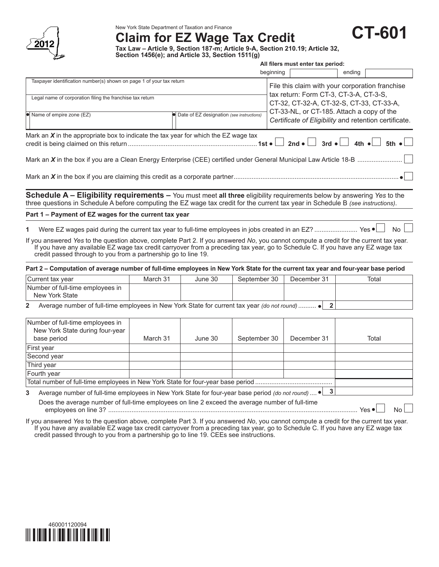

New York State Department of Taxation and Finance

**Claim for EZ Wage Tax Credit**

**CT-601**

**Tax Law – Article 9, Section 187-m; Article 9-A, Section 210.19; Article 32, Section 1456(e); and Article 33, Section 1511(g)**

|                                                                                                                                                                                                                                                                                                                                            |                                             |         |              | All filers must enter tax period:               |             |                                                                                                                                                                                                           |  |  |
|--------------------------------------------------------------------------------------------------------------------------------------------------------------------------------------------------------------------------------------------------------------------------------------------------------------------------------------------|---------------------------------------------|---------|--------------|-------------------------------------------------|-------------|-----------------------------------------------------------------------------------------------------------------------------------------------------------------------------------------------------------|--|--|
|                                                                                                                                                                                                                                                                                                                                            |                                             |         |              | beginning                                       |             | ending                                                                                                                                                                                                    |  |  |
| Taxpayer identification number(s) shown on page 1 of your tax return                                                                                                                                                                                                                                                                       |                                             |         |              | File this claim with your corporation franchise |             |                                                                                                                                                                                                           |  |  |
| Legal name of corporation filing the franchise tax return                                                                                                                                                                                                                                                                                  |                                             |         |              |                                                 |             | tax return: Form CT-3, CT-3-A, CT-3-S,<br>CT-32, CT-32-A, CT-32-S, CT-33, CT-33-A,                                                                                                                        |  |  |
| $\bullet$ Name of empire zone (EZ)                                                                                                                                                                                                                                                                                                         | • Date of EZ designation (see instructions) |         |              |                                                 |             | CT-33-NL, or CT-185. Attach a copy of the<br>Certificate of Eligibility and retention certificate.                                                                                                        |  |  |
| Mark an $X$ in the appropriate box to indicate the tax year for which the EZ wage tax                                                                                                                                                                                                                                                      |                                             |         |              |                                                 |             | 2nd $\bullet$ $\begin{array}{ c c c c c c } \hline \end{array}$ 3rd $\bullet$ $\begin{array}{ c c c c c } \hline \end{array}$ 4th $\bullet$ $\begin{array}{ c c c c c } \hline \end{array}$ 5th $\bullet$ |  |  |
|                                                                                                                                                                                                                                                                                                                                            |                                             |         |              |                                                 |             |                                                                                                                                                                                                           |  |  |
|                                                                                                                                                                                                                                                                                                                                            |                                             |         |              |                                                 |             |                                                                                                                                                                                                           |  |  |
| Schedule A - Eligibility requirements - You must meet all three eligibility requirements below by answering Yes to the<br>three questions in Schedule A before computing the EZ wage tax credit for the current tax year in Schedule B (see instructions).                                                                                 |                                             |         |              |                                                 |             |                                                                                                                                                                                                           |  |  |
| Part 1 - Payment of EZ wages for the current tax year                                                                                                                                                                                                                                                                                      |                                             |         |              |                                                 |             |                                                                                                                                                                                                           |  |  |
| Were EZ wages paid during the current tax year to full-time employees in jobs created in an EZ?  Yes $\bullet$<br>1                                                                                                                                                                                                                        |                                             |         |              |                                                 |             | No                                                                                                                                                                                                        |  |  |
| If you answered Yes to the question above, complete Part 2. If you answered No, you cannot compute a credit for the current tax year.<br>If you have any available EZ wage tax credit carryover from a preceding tax year, go to Schedule C. If you have any EZ wage tax<br>credit passed through to you from a partnership go to line 19. |                                             |         |              |                                                 |             |                                                                                                                                                                                                           |  |  |
| Part 2 - Computation of average number of full-time employees in New York State for the current tax year and four-year base period                                                                                                                                                                                                         |                                             |         |              |                                                 |             |                                                                                                                                                                                                           |  |  |
| Current tax year                                                                                                                                                                                                                                                                                                                           | March 31                                    | June 30 | September 30 |                                                 | December 31 | Total                                                                                                                                                                                                     |  |  |
| Number of full-time employees in<br><b>New York State</b>                                                                                                                                                                                                                                                                                  |                                             |         |              |                                                 |             |                                                                                                                                                                                                           |  |  |
| Average number of full-time employees in New York State for current tax year (do not round)  • 2<br>$\mathbf{2}$                                                                                                                                                                                                                           |                                             |         |              |                                                 |             |                                                                                                                                                                                                           |  |  |
| Number of full-time employees in<br>New York State during four-year<br>base period                                                                                                                                                                                                                                                         | March 31                                    | June 30 | September 30 |                                                 | December 31 | Total                                                                                                                                                                                                     |  |  |
| First year                                                                                                                                                                                                                                                                                                                                 |                                             |         |              |                                                 |             |                                                                                                                                                                                                           |  |  |
| Second year                                                                                                                                                                                                                                                                                                                                |                                             |         |              |                                                 |             |                                                                                                                                                                                                           |  |  |
| Third year                                                                                                                                                                                                                                                                                                                                 |                                             |         |              |                                                 |             |                                                                                                                                                                                                           |  |  |
| Fourth year                                                                                                                                                                                                                                                                                                                                |                                             |         |              |                                                 |             |                                                                                                                                                                                                           |  |  |
|                                                                                                                                                                                                                                                                                                                                            |                                             |         |              |                                                 |             |                                                                                                                                                                                                           |  |  |
| Average number of full-time employees in New York State for four-year base period (do not round) $\bullet$ 3<br>3                                                                                                                                                                                                                          |                                             |         |              |                                                 |             |                                                                                                                                                                                                           |  |  |
| Does the average number of full-time employees on line 2 exceed the average number of full-time                                                                                                                                                                                                                                            |                                             |         |              |                                                 |             | No                                                                                                                                                                                                        |  |  |

If you answered *Yes* to the question above, complete Part 3. If you answered *No*, you cannot compute a credit for the current tax year. If you have any available EZ wage tax credit carryover from a preceding tax year, go to Schedule C. If you have any EZ wage tax credit passed through to you from a partnership go to line 19. CEEs see instructions.

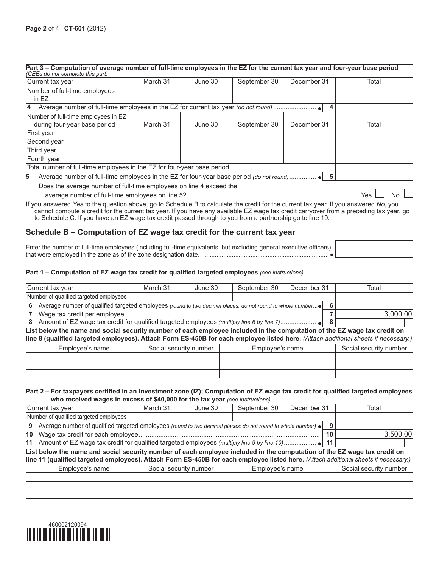| Part 3 – Computation of average number of full-time employees in the EZ for the current tax year and four-year base period |  |  |  |
|----------------------------------------------------------------------------------------------------------------------------|--|--|--|
| (CEEs do not complete this part)                                                                                           |  |  |  |

| Current tax year                                                                                                                      | March 31 | June 30 | September 30 | December 31 | Total     |  |  |  |
|---------------------------------------------------------------------------------------------------------------------------------------|----------|---------|--------------|-------------|-----------|--|--|--|
| Number of full-time employees<br>in EZ                                                                                                |          |         |              |             |           |  |  |  |
|                                                                                                                                       |          |         |              |             |           |  |  |  |
| Number of full-time employees in EZ<br>during four-year base period                                                                   | March 31 | June 30 | September 30 | December 31 | Total     |  |  |  |
| First year                                                                                                                            |          |         |              |             |           |  |  |  |
| Second year                                                                                                                           |          |         |              |             |           |  |  |  |
| Third year                                                                                                                            |          |         |              |             |           |  |  |  |
| Fourth year                                                                                                                           |          |         |              |             |           |  |  |  |
|                                                                                                                                       |          |         |              |             |           |  |  |  |
| 5                                                                                                                                     |          |         |              |             |           |  |  |  |
| Does the average number of full-time employees on line 4 exceed the                                                                   |          |         |              |             |           |  |  |  |
|                                                                                                                                       |          |         |              |             | No<br>Yes |  |  |  |
| If you answered Yes to the question above, go to Schedule B to calculate the credit for the current tax year. If you answered No, you |          |         |              |             |           |  |  |  |

cannot compute a credit for the current tax year. If you have any available EZ wage tax credit carryover from a preceding tax year, go to Schedule C. If you have an EZ wage tax credit passed through to you from a partnership go to line 19.

# **Schedule B – Computation of EZ wage tax credit for the current tax year**

Enter the number of full-time employees (including full-time equivalents, but excluding general executive officers) that were employed in the zone as of the zone designation date. .........................................................................

## **Part 1 – Computation of EZ wage tax credit for qualified targeted employees** *(see instructions)*

| Current tax year                                                                                           | March 31 | June 30 | September 30 | December 31 |  | Total    |
|------------------------------------------------------------------------------------------------------------|----------|---------|--------------|-------------|--|----------|
| Number of qualified targeted employees                                                                     |          |         |              |             |  |          |
| Average number of qualified targeted employees (round to two decimal places; do not round to whole number) |          |         |              |             |  |          |
|                                                                                                            |          |         |              |             |  | 3.000.00 |
| Amount of EZ wage tax credit for qualified targeted employees (multiply line 6 by line 7)                  |          |         |              |             |  |          |

**List below the name and social security number of each employee included in the computation of the EZ wage tax credit on line 8 (qualified targeted employees). Attach Form ES‑450B for each employee listed here.** *(Attach additional sheets if necessary.)*

| Employee's name | Social security number | Employee's name | Social security number |
|-----------------|------------------------|-----------------|------------------------|
|                 |                        |                 |                        |
|                 |                        |                 |                        |
|                 |                        |                 |                        |

## **Part 2 – For taxpayers certified in an investment zone (IZ); Computation of EZ wage tax credit for qualified targeted employees who received wages in excess of \$40,000 for the tax year** *(see instructions)*

| Current tax year                                                                                                     | March 31 | June 30 | September 30 | December 31 |    | Total    |
|----------------------------------------------------------------------------------------------------------------------|----------|---------|--------------|-------------|----|----------|
| Number of qualified targeted employees                                                                               |          |         |              |             |    |          |
| Average number of qualified targeted employees (round to two decimal places; do not round to whole number) $\bullet$ |          |         |              |             |    |          |
|                                                                                                                      |          |         |              |             | 10 | 3.500.00 |
|                                                                                                                      |          |         |              |             |    |          |

#### **List below the name and social security number of each employee included in the computation of the EZ wage tax credit on line 11 (qualified targeted employees). Attach Form ES‑450B for each employee listed here.** *(Attach additional sheets if necessary.)*

| Employee's name | Social security number | Employee's name | Social security number |
|-----------------|------------------------|-----------------|------------------------|
|                 |                        |                 |                        |
|                 |                        |                 |                        |
|                 |                        |                 |                        |

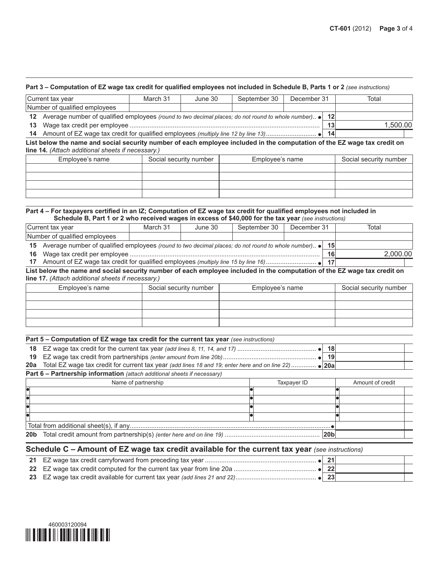#### **Part 3 – Computation of EZ wage tax credit for qualified employees not included in Schedule B, Parts 1 or 2** *(see instructions)*

|                                                                                                           | Current tax year                                                                      | March 31 | June 30 | September 30 | December 31 |          | Total |
|-----------------------------------------------------------------------------------------------------------|---------------------------------------------------------------------------------------|----------|---------|--------------|-------------|----------|-------|
|                                                                                                           | Number of qualified employees                                                         |          |         |              |             |          |       |
| 12 Average number of qualified employees (round to two decimal places; do not round to whole number) • 12 |                                                                                       |          |         |              |             |          |       |
| 13                                                                                                        |                                                                                       |          |         |              |             | 1.500.00 |       |
|                                                                                                           | 14 Amount of EZ wage tax credit for qualified employees (multiply line 12 by line 13) |          |         |              |             | 14       |       |

**List below the name and social security number of each employee included in the computation of the EZ wage tax credit on line 14.** *(Attach additional sheets if necessary.)*

| Employee's name | Social security number | Employee's name | Social security number |
|-----------------|------------------------|-----------------|------------------------|
|                 |                        |                 |                        |
|                 |                        |                 |                        |
|                 |                        |                 |                        |
|                 |                        |                 |                        |

### **Part 4 – For taxpayers certified in an IZ; Computation of EZ wage tax credit for qualified employees not included in Schedule B, Part 1 or 2 who received wages in excess of \$40,000 for the tax year** *(see instructions)*

|                                                                                                                    | Current tax year              | March 31 | June 30 | September 30 | December 31 |    | Total    |
|--------------------------------------------------------------------------------------------------------------------|-------------------------------|----------|---------|--------------|-------------|----|----------|
|                                                                                                                    | Number of qualified employees |          |         |              |             |    |          |
| 15 Average number of qualified employees (round to two decimal places; do not round to whole number). $\bullet$ 15 |                               |          |         |              |             |    |          |
|                                                                                                                    |                               |          |         |              |             | 16 | 2.000.00 |
|                                                                                                                    | -17                           |          |         |              |             |    |          |

## **List below the name and social security number of each employee included in the computation of the EZ wage tax credit on line 17.** *(Attach additional sheets if necessary.)*

| Social security number<br>Employee's name |  | Employee's name | Social security number |
|-------------------------------------------|--|-----------------|------------------------|
|                                           |  |                 |                        |
|                                           |  |                 |                        |
|                                           |  |                 |                        |
|                                           |  |                 |                        |

## **Part 5 – Computation of EZ wage tax credit for the current tax year** (see instructions)

|  | 18 <sub>1</sub> |  |
|--|-----------------|--|
|  | 19              |  |
|  |                 |  |
|  |                 |  |

#### **Part 6 – Partnership information** *(attach additional sheets if necessary)*

| Name of partnership | Taxpayer ID | Amount of credit |  |  |
|---------------------|-------------|------------------|--|--|
|                     |             |                  |  |  |
|                     |             |                  |  |  |
|                     |             |                  |  |  |
|                     |             |                  |  |  |
|                     |             |                  |  |  |
|                     |             |                  |  |  |
|                     |             |                  |  |  |

# **Schedule C – Amount of EZ wage tax credit available for the current tax year** *(see instructions)*